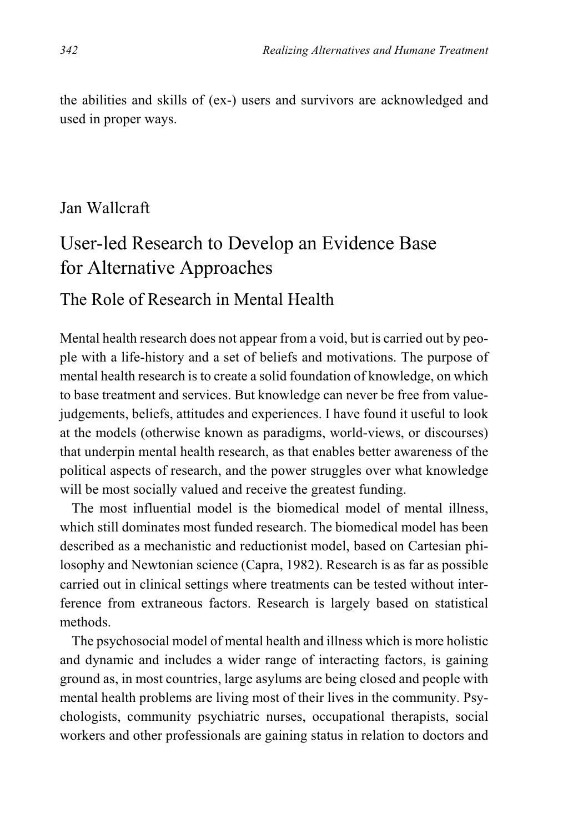the abilities and skills of (ex-) users and survivors are acknowledged and used in proper ways.

#### Jan Wallcraft

## User-led Research to Develop an Evidence Base for Alternative Approaches

### The Role of Research in Mental Health

Mental health research does not appear from a void, but is carried out by people with a life-history and a set of beliefs and motivations. The purpose of mental health research is to create a solid foundation of knowledge, on which to base treatment and services. But knowledge can never be free from valuejudgements, beliefs, attitudes and experiences. I have found it useful to look at the models (otherwise known as paradigms, world-views, or discourses) that underpin mental health research, as that enables better awareness of the political aspects of research, and the power struggles over what knowledge will be most socially valued and receive the greatest funding.

The most influential model is the biomedical model of mental illness, which still dominates most funded research. The biomedical model has been described as a mechanistic and reductionist model, based on Cartesian philosophy and Newtonian science (Capra, 1982). Research is as far as possible carried out in clinical settings where treatments can be tested without interference from extraneous factors. Research is largely based on statistical methods.

The psychosocial model of mental health and illness which is more holistic and dynamic and includes a wider range of interacting factors, is gaining ground as, in most countries, large asylums are being closed and people with mental health problems are living most of their lives in the community. Psychologists, community psychiatric nurses, occupational therapists, social workers and other professionals are gaining status in relation to doctors and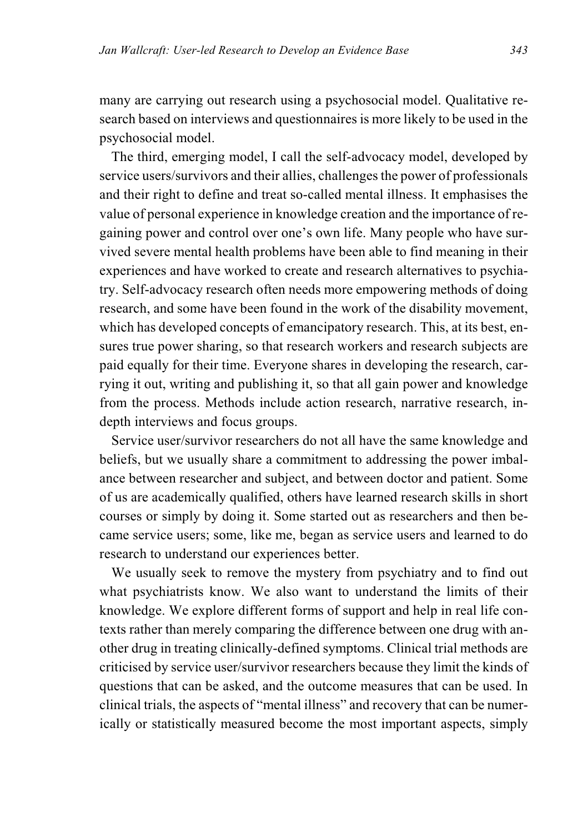many are carrying out research using a psychosocial model. Qualitative research based on interviews and questionnaires is more likely to be used in the psychosocial model.

The third, emerging model, I call the self-advocacy model, developed by service users/survivors and their allies, challenges the power of professionals and their right to define and treat so-called mental illness. It emphasises the value of personal experience in knowledge creation and the importance of regaining power and control over one's own life. Many people who have survived severe mental health problems have been able to find meaning in their experiences and have worked to create and research alternatives to psychiatry. Self-advocacy research often needs more empowering methods of doing research, and some have been found in the work of the disability movement, which has developed concepts of emancipatory research. This, at its best, ensures true power sharing, so that research workers and research subjects are paid equally for their time. Everyone shares in developing the research, carrying it out, writing and publishing it, so that all gain power and knowledge from the process. Methods include action research, narrative research, indepth interviews and focus groups.

Service user/survivor researchers do not all have the same knowledge and beliefs, but we usually share a commitment to addressing the power imbalance between researcher and subject, and between doctor and patient. Some of us are academically qualified, others have learned research skills in short courses or simply by doing it. Some started out as researchers and then became service users; some, like me, began as service users and learned to do research to understand our experiences better.

We usually seek to remove the mystery from psychiatry and to find out what psychiatrists know. We also want to understand the limits of their knowledge. We explore different forms of support and help in real life contexts rather than merely comparing the difference between one drug with another drug in treating clinically-defined symptoms. Clinical trial methods are criticised by service user/survivor researchers because they limit the kinds of questions that can be asked, and the outcome measures that can be used. In clinical trials, the aspects of "mental illness" and recovery that can be numerically or statistically measured become the most important aspects, simply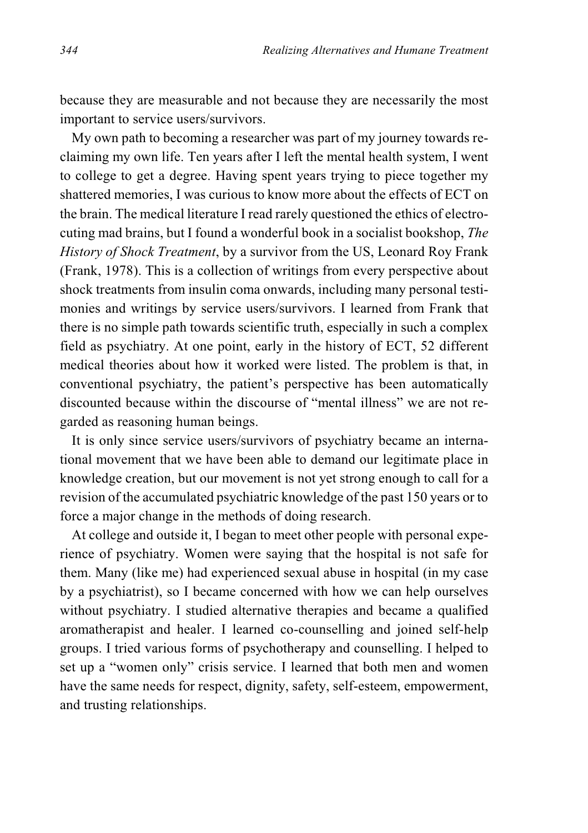because they are measurable and not because they are necessarily the most important to service users/survivors.

My own path to becoming a researcher was part of my journey towards reclaiming my own life. Ten years after I left the mental health system, I went to college to get a degree. Having spent years trying to piece together my shattered memories, I was curious to know more about the effects of ECT on the brain. The medical literature I read rarely questioned the ethics of electrocuting mad brains, but I found a wonderful book in a socialist bookshop, *The History of Shock Treatment*, by a survivor from the US, Leonard Roy Frank (Frank, 1978). This is a collection of writings from every perspective about shock treatments from insulin coma onwards, including many personal testimonies and writings by service users/survivors. I learned from Frank that there is no simple path towards scientific truth, especially in such a complex field as psychiatry. At one point, early in the history of ECT, 52 different medical theories about how it worked were listed. The problem is that, in conventional psychiatry, the patient's perspective has been automatically discounted because within the discourse of "mental illness" we are not regarded as reasoning human beings.

It is only since service users/survivors of psychiatry became an international movement that we have been able to demand our legitimate place in knowledge creation, but our movement is not yet strong enough to call for a revision of the accumulated psychiatric knowledge of the past 150 years or to force a major change in the methods of doing research.

At college and outside it, I began to meet other people with personal experience of psychiatry. Women were saying that the hospital is not safe for them. Many (like me) had experienced sexual abuse in hospital (in my case by a psychiatrist), so I became concerned with how we can help ourselves without psychiatry. I studied alternative therapies and became a qualified aromatherapist and healer. I learned co-counselling and joined self-help groups. I tried various forms of psychotherapy and counselling. I helped to set up a "women only" crisis service. I learned that both men and women have the same needs for respect, dignity, safety, self-esteem, empowerment, and trusting relationships.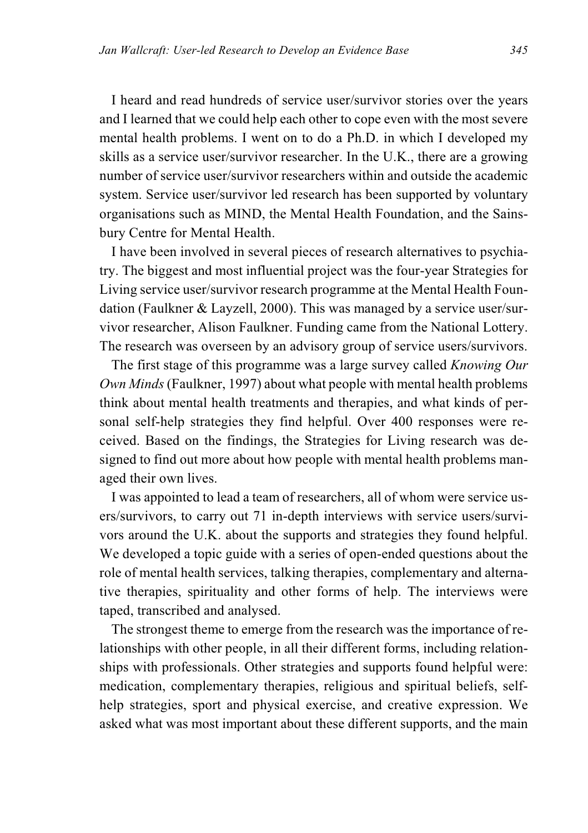I heard and read hundreds of service user/survivor stories over the years and I learned that we could help each other to cope even with the most severe mental health problems. I went on to do a Ph.D. in which I developed my skills as a service user/survivor researcher. In the U.K., there are a growing number of service user/survivor researchers within and outside the academic system. Service user/survivor led research has been supported by voluntary organisations such as MIND, the Mental Health Foundation, and the Sainsbury Centre for Mental Health.

I have been involved in several pieces of research alternatives to psychiatry. The biggest and most influential project was the four-year Strategies for Living service user/survivor research programme at the Mental Health Foundation (Faulkner & Layzell, 2000). This was managed by a service user/survivor researcher, Alison Faulkner. Funding came from the National Lottery. The research was overseen by an advisory group of service users/survivors.

The first stage of this programme was a large survey called *Knowing Our Own Minds* (Faulkner, 1997) about what people with mental health problems think about mental health treatments and therapies, and what kinds of personal self-help strategies they find helpful. Over 400 responses were received. Based on the findings, the Strategies for Living research was designed to find out more about how people with mental health problems managed their own lives.

I was appointed to lead a team of researchers, all of whom were service users/survivors, to carry out 71 in-depth interviews with service users/survivors around the U.K. about the supports and strategies they found helpful. We developed a topic guide with a series of open-ended questions about the role of mental health services, talking therapies, complementary and alternative therapies, spirituality and other forms of help. The interviews were taped, transcribed and analysed.

The strongest theme to emerge from the research was the importance of relationships with other people, in all their different forms, including relationships with professionals. Other strategies and supports found helpful were: medication, complementary therapies, religious and spiritual beliefs, selfhelp strategies, sport and physical exercise, and creative expression. We asked what was most important about these different supports, and the main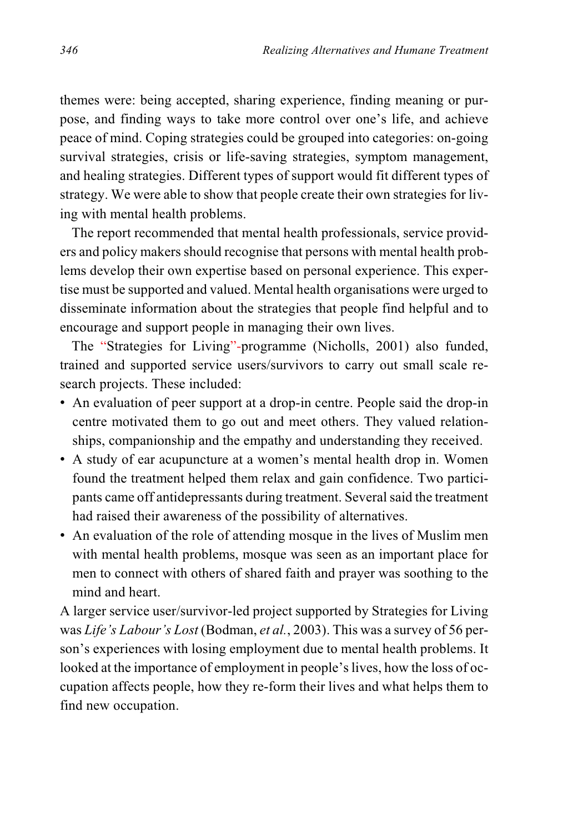themes were: being accepted, sharing experience, finding meaning or purpose, and finding ways to take more control over one's life, and achieve peace of mind. Coping strategies could be grouped into categories: on-going survival strategies, crisis or life-saving strategies, symptom management, and healing strategies. Different types of support would fit different types of strategy. We were able to show that people create their own strategies for living with mental health problems.

The report recommended that mental health professionals, service providers and policy makers should recognise that persons with mental health problems develop their own expertise based on personal experience. This expertise must be supported and valued. Mental health organisations were urged to disseminate information about the strategies that people find helpful and to encourage and support people in managing their own lives.

The "Strategies for Living"-programme (Nicholls, 2001) also funded, trained and supported service users/survivors to carry out small scale research projects. These included:

- An evaluation of peer support at a drop-in centre. People said the drop-in centre motivated them to go out and meet others. They valued relationships, companionship and the empathy and understanding they received.
- A study of ear acupuncture at a women's mental health drop in. Women found the treatment helped them relax and gain confidence. Two participants came off antidepressants during treatment. Several said the treatment had raised their awareness of the possibility of alternatives.
- An evaluation of the role of attending mosque in the lives of Muslim men with mental health problems, mosque was seen as an important place for men to connect with others of shared faith and prayer was soothing to the mind and heart.

A larger service user/survivor-led project supported by Strategies for Living was *Life's Labour's Lost* (Bodman, *et al.*, 2003). This was a survey of 56 person's experiences with losing employment due to mental health problems. It looked at the importance of employment in people's lives, how the loss of occupation affects people, how they re-form their lives and what helps them to find new occupation.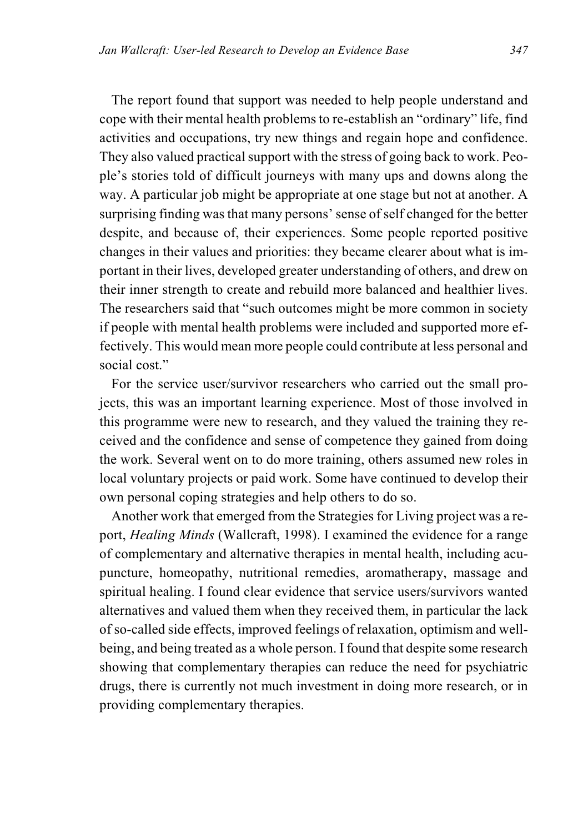The report found that support was needed to help people understand and cope with their mental health problems to re-establish an "ordinary" life, find activities and occupations, try new things and regain hope and confidence. They also valued practical support with the stress of going back to work. People's stories told of difficult journeys with many ups and downs along the way. A particular job might be appropriate at one stage but not at another. A surprising finding was that many persons' sense of self changed for the better despite, and because of, their experiences. Some people reported positive changes in their values and priorities: they became clearer about what is important in their lives, developed greater understanding of others, and drew on their inner strength to create and rebuild more balanced and healthier lives. The researchers said that "such outcomes might be more common in society if people with mental health problems were included and supported more effectively. This would mean more people could contribute at less personal and social cost."

For the service user/survivor researchers who carried out the small projects, this was an important learning experience. Most of those involved in this programme were new to research, and they valued the training they received and the confidence and sense of competence they gained from doing the work. Several went on to do more training, others assumed new roles in local voluntary projects or paid work. Some have continued to develop their own personal coping strategies and help others to do so.

Another work that emerged from the Strategies for Living project was a report, *Healing Minds* (Wallcraft, 1998). I examined the evidence for a range of complementary and alternative therapies in mental health, including acupuncture, homeopathy, nutritional remedies, aromatherapy, massage and spiritual healing. I found clear evidence that service users/survivors wanted alternatives and valued them when they received them, in particular the lack of so-called side effects, improved feelings of relaxation, optimism and wellbeing, and being treated as a whole person. I found that despite some research showing that complementary therapies can reduce the need for psychiatric drugs, there is currently not much investment in doing more research, or in providing complementary therapies.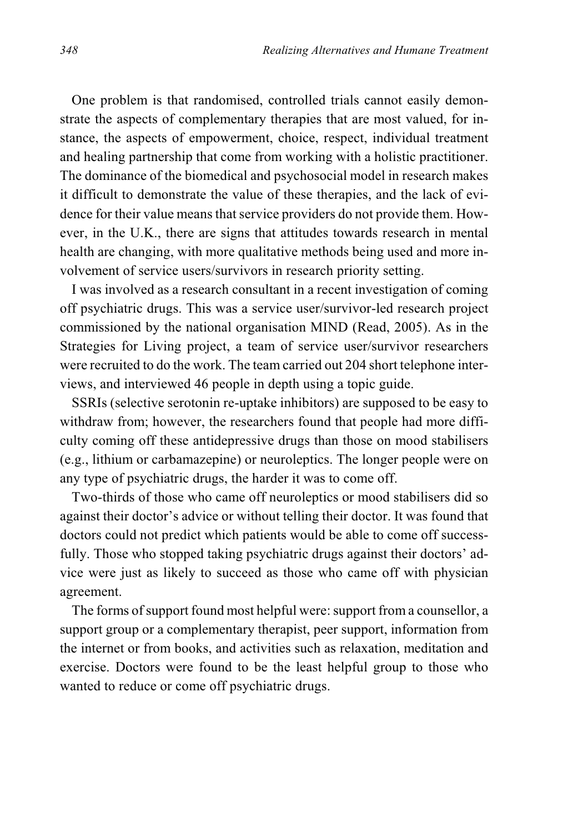One problem is that randomised, controlled trials cannot easily demonstrate the aspects of complementary therapies that are most valued, for instance, the aspects of empowerment, choice, respect, individual treatment and healing partnership that come from working with a holistic practitioner. The dominance of the biomedical and psychosocial model in research makes it difficult to demonstrate the value of these therapies, and the lack of evidence for their value means that service providers do not provide them. However, in the U.K., there are signs that attitudes towards research in mental health are changing, with more qualitative methods being used and more involvement of service users/survivors in research priority setting.

I was involved as a research consultant in a recent investigation of coming off psychiatric drugs. This was a service user/survivor-led research project commissioned by the national organisation MIND (Read, 2005). As in the Strategies for Living project, a team of service user/survivor researchers were recruited to do the work. The team carried out 204 short telephone interviews, and interviewed 46 people in depth using a topic guide.

SSRIs (selective serotonin re-uptake inhibitors) are supposed to be easy to withdraw from; however, the researchers found that people had more difficulty coming off these antidepressive drugs than those on mood stabilisers (e.g., lithium or carbamazepine) or neuroleptics. The longer people were on any type of psychiatric drugs, the harder it was to come off.

Two-thirds of those who came off neuroleptics or mood stabilisers did so against their doctor's advice or without telling their doctor. It was found that doctors could not predict which patients would be able to come off successfully. Those who stopped taking psychiatric drugs against their doctors' advice were just as likely to succeed as those who came off with physician agreement.

The forms of support found most helpful were: support from a counsellor, a support group or a complementary therapist, peer support, information from the internet or from books, and activities such as relaxation, meditation and exercise. Doctors were found to be the least helpful group to those who wanted to reduce or come off psychiatric drugs.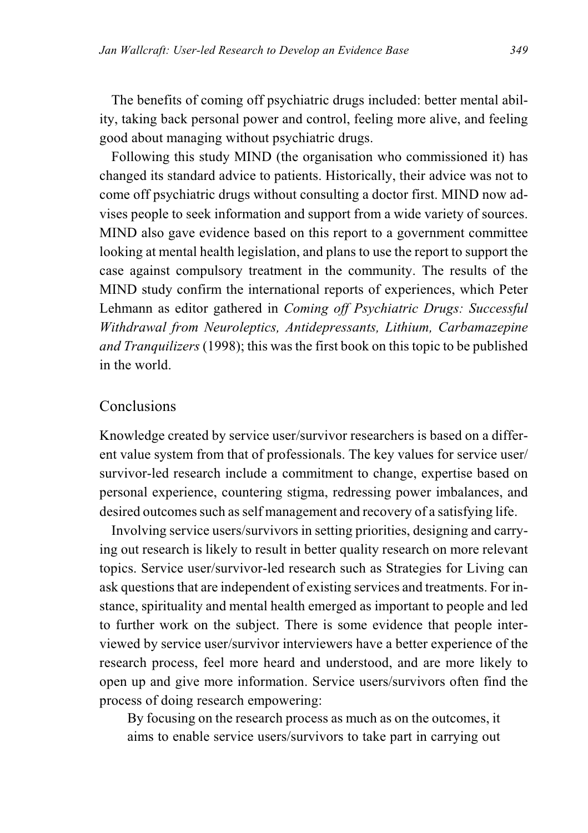The benefits of coming off psychiatric drugs included: better mental ability, taking back personal power and control, feeling more alive, and feeling good about managing without psychiatric drugs.

Following this study MIND (the organisation who commissioned it) has changed its standard advice to patients. Historically, their advice was not to come off psychiatric drugs without consulting a doctor first. MIND now advises people to seek information and support from a wide variety of sources. MIND also gave evidence based on this report to a government committee looking at mental health legislation, and plans to use the report to support the case against compulsory treatment in the community. The results of the MIND study confirm the international reports of experiences, which Peter Lehmann as editor gathered in *Coming off Psychiatric Drugs: Successful Withdrawal from Neuroleptics, Antidepressants, Lithium, Carbamazepine and Tranquilizers* (1998); this was the first book on this topic to be published in the world.

#### Conclusions

Knowledge created by service user/survivor researchers is based on a different value system from that of professionals. The key values for service user/ survivor-led research include a commitment to change, expertise based on personal experience, countering stigma, redressing power imbalances, and desired outcomes such as self management and recovery of a satisfying life.

Involving service users/survivors in setting priorities, designing and carrying out research is likely to result in better quality research on more relevant topics. Service user/survivor-led research such as Strategies for Living can ask questions that are independent of existing services and treatments. For instance, spirituality and mental health emerged as important to people and led to further work on the subject. There is some evidence that people interviewed by service user/survivor interviewers have a better experience of the research process, feel more heard and understood, and are more likely to open up and give more information. Service users/survivors often find the process of doing research empowering:

By focusing on the research process as much as on the outcomes, it aims to enable service users/survivors to take part in carrying out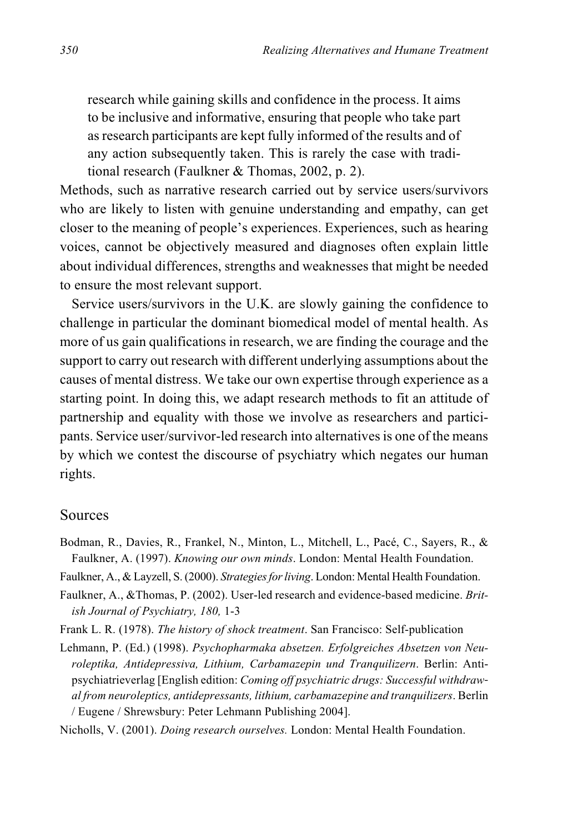research while gaining skills and confidence in the process. It aims to be inclusive and informative, ensuring that people who take part as research participants are kept fully informed of the results and of any action subsequently taken. This is rarely the case with traditional research (Faulkner & Thomas, 2002, p. 2).

Methods, such as narrative research carried out by service users/survivors who are likely to listen with genuine understanding and empathy, can get closer to the meaning of people's experiences. Experiences, such as hearing voices, cannot be objectively measured and diagnoses often explain little about individual differences, strengths and weaknesses that might be needed to ensure the most relevant support.

Service users/survivors in the U.K. are slowly gaining the confidence to challenge in particular the dominant biomedical model of mental health. As more of us gain qualifications in research, we are finding the courage and the support to carry out research with different underlying assumptions about the causes of mental distress. We take our own expertise through experience as a starting point. In doing this, we adapt research methods to fit an attitude of partnership and equality with those we involve as researchers and participants. Service user/survivor-led research into alternatives is one of the means by which we contest the discourse of psychiatry which negates our human rights.

#### Sources

- Bodman, R., Davies, R., Frankel, N., Minton, L., Mitchell, L., Pacé, C., Sayers, R., & Faulkner, A. (1997). *Knowing our own minds*. London: Mental Health Foundation.
- Faulkner, A., & Layzell, S. (2000). *Strategies for living*. London: Mental Health Foundation.
- Faulkner, A., &Thomas, P. (2002). User-led research and evidence-based medicine. *British Journal of Psychiatry, 180,* 1-3
- Frank L. R. (1978). *The history of shock treatment*. San Francisco: Self-publication
- Lehmann, P. (Ed.) (1998). *Psychopharmaka absetzen. Erfolgreiches Absetzen von Neuroleptika, Antidepressiva, Lithium, Carbamazepin und Tranquilizern*. Berlin: Antipsychiatrieverlag [English edition: *Coming off psychiatric drugs: Successful withdrawal from neuroleptics, antidepressants, lithium, carbamazepine and tranquilizers*. Berlin / Eugene / Shrewsbury: Peter Lehmann Publishing 2004].
- Nicholls, V. (2001). *Doing research ourselves.* London: Mental Health Foundation.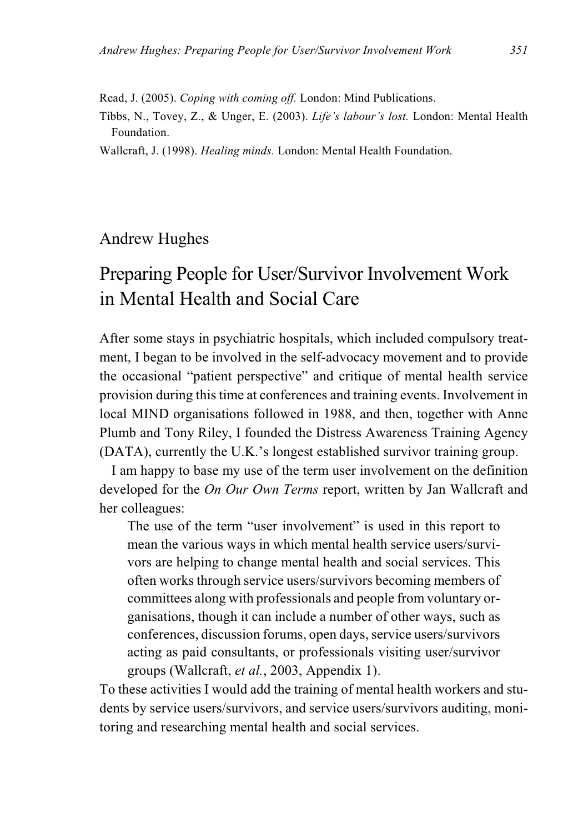Read, J. (2005). *Coping with coming off.* London: Mind Publications.

Tibbs, N., Tovey, Z., & Unger, E. (2003). *Life's labour's lost.* London: Mental Health Foundation.

Wallcraft, J. (1998). *Healing minds.* London: Mental Health Foundation.

#### Andrew Hughes

## Preparing People for User/Survivor Involvement Work in Mental Health and Social Care

After some stays in psychiatric hospitals, which included compulsory treatment, I began to be involved in the self-advocacy movement and to provide the occasional "patient perspective" and critique of mental health service provision during this time at conferences and training events. Involvement in local MIND organisations followed in 1988, and then, together with Anne Plumb and Tony Riley, I founded the Distress Awareness Training Agency (DATA), currently the U.K.'s longest established survivor training group.

I am happy to base my use of the term user involvement on the definition developed for the *On Our Own Terms* report, written by Jan Wallcraft and her colleagues:

The use of the term "user involvement" is used in this report to mean the various ways in which mental health service users/survivors are helping to change mental health and social services. This often works through service users/survivors becoming members of committees along with professionals and people from voluntary organisations, though it can include a number of other ways, such as conferences, discussion forums, open days, service users/survivors acting as paid consultants, or professionals visiting user/survivor groups (Wallcraft, *et al.*, 2003, Appendix 1).

To these activities I would add the training of mental health workers and students by service users/survivors, and service users/survivors auditing, monitoring and researching mental health and social services.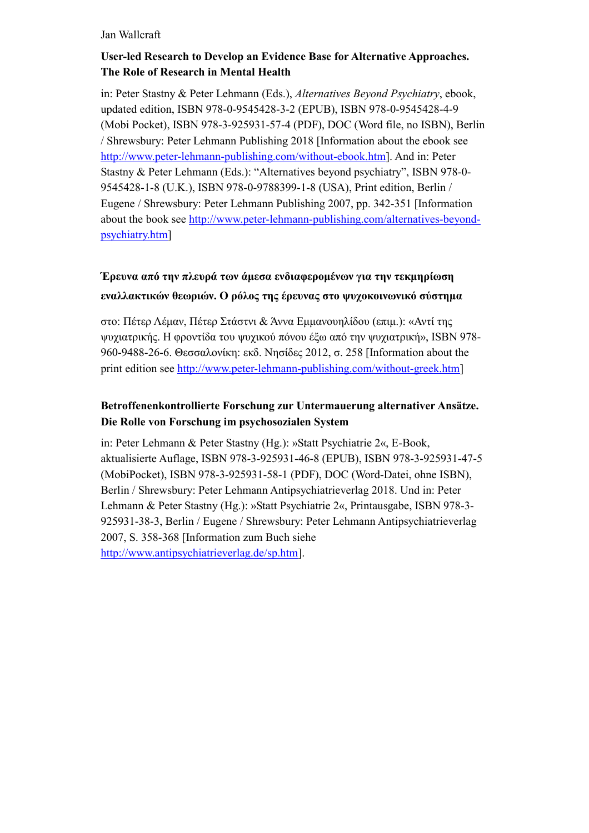### Jan Wallcraft

### User-led Research to Develop an Evidence Base for Alternative Approaches. The Role of Research in Mental Health

in: Peter Stastny & Peter Lehmann (Eds.), Alternatives Beyond Psychiatry, ebook, updated edition, ISBN 978-0-9545428-3-2 (EPUB), ISBN 978-0-9545428-4-9 (Mobi Pocket), ISBN 978-3-925931-57-4 (PDF), DOC (Word file, no ISBN), Berlin / Shrewsbury: Peter Lehmann Publishing 2018 [Information about the ebook see http://www.peter-lehmann-publishing.com/without-ebook.htm]. And in: Peter Stastny & Peter Lehmann (Eds.): "Alternatives beyond psychiatry", ISBN 978-0-9545428-1-8 (U.K.), ISBN 978-0-9788399-1-8 (USA), Print edition, Berlin / Eugene / Shrewsbury: Peter Lehmann Publishing 2007, pp. 342-351 [Information] about the book see http://www.peter-lehmann-publishing.com/alternatives-beyondpsychiatry.htm]

# Έρευνα από την πλευρά των άμεσα ενδιαφερομένων για την τεκμηρίωση εναλλακτικών θεωριών. Ο ρόλος της έρευνας στο ψυχοκοινωνικό σύστημα

στο: Πέτερ Λέμαν, Πέτερ Στάστνι & Άννα Εμμανουηλίδου (επιμ.): «Αντί της ψυχιατρικής. Η φροντίδα του ψυχικού πόνου έξω από την ψυχιατρική», ISBN 978-960-9488-26-6. Θεσσαλονίκη: εκδ. Νησίδες 2012, σ. 258 [Information about the print edition see http://www.peter-lehmann-publishing.com/without-greek.htm]

## Betroffenenkontrollierte Forschung zur Untermauerung alternativer Ansätze. Die Rolle von Forschung im psychosozialen System

in: Peter Lehmann & Peter Stastny (Hg.): »Statt Psychiatrie 2«, E-Book, aktualisierte Auflage, ISBN 978-3-925931-46-8 (EPUB), ISBN 978-3-925931-47-5 (MobiPocket), ISBN 978-3-925931-58-1 (PDF), DOC (Word-Datei, ohne ISBN), Berlin / Shrewsbury: Peter Lehmann Antipsychiatrieverlag 2018. Und in: Peter Lehmann & Peter Stastny (Hg.): »Statt Psychiatrie 2«, Printausgabe, ISBN 978-3-925931-38-3, Berlin / Eugene / Shrewsbury: Peter Lehmann Antipsychiatrieverlag 2007, S. 358-368 [Information zum Buch siehe http://www.antipsychiatrieverlag.de/sp.htm].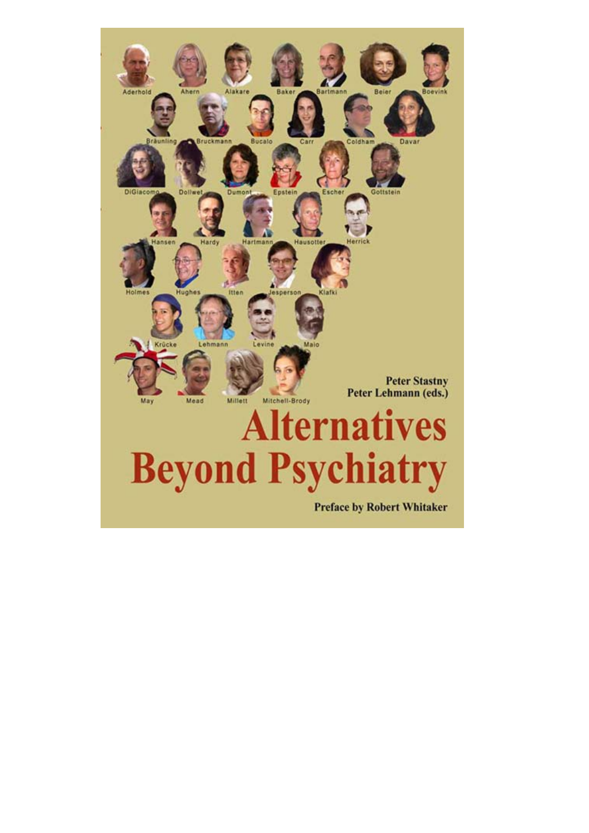